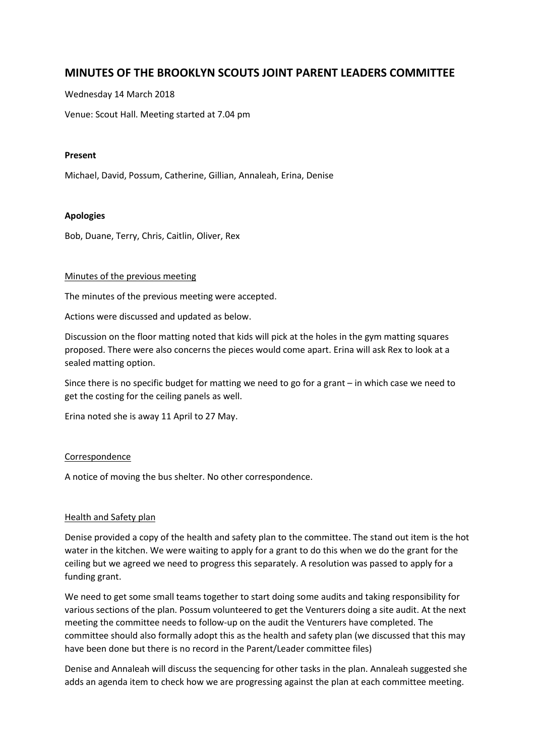# **MINUTES OF THE BROOKLYN SCOUTS JOINT PARENT LEADERS COMMITTEE**

Wednesday 14 March 2018

Venue: Scout Hall. Meeting started at 7.04 pm

#### **Present**

Michael, David, Possum, Catherine, Gillian, Annaleah, Erina, Denise

#### **Apologies**

Bob, Duane, Terry, Chris, Caitlin, Oliver, Rex

#### Minutes of the previous meeting

The minutes of the previous meeting were accepted.

Actions were discussed and updated as below.

Discussion on the floor matting noted that kids will pick at the holes in the gym matting squares proposed. There were also concerns the pieces would come apart. Erina will ask Rex to look at a sealed matting option.

Since there is no specific budget for matting we need to go for a grant – in which case we need to get the costing for the ceiling panels as well.

Erina noted she is away 11 April to 27 May.

#### Correspondence

A notice of moving the bus shelter. No other correspondence.

#### Health and Safety plan

Denise provided a copy of the health and safety plan to the committee. The stand out item is the hot water in the kitchen. We were waiting to apply for a grant to do this when we do the grant for the ceiling but we agreed we need to progress this separately. A resolution was passed to apply for a funding grant.

We need to get some small teams together to start doing some audits and taking responsibility for various sections of the plan. Possum volunteered to get the Venturers doing a site audit. At the next meeting the committee needs to follow-up on the audit the Venturers have completed. The committee should also formally adopt this as the health and safety plan (we discussed that this may have been done but there is no record in the Parent/Leader committee files)

Denise and Annaleah will discuss the sequencing for other tasks in the plan. Annaleah suggested she adds an agenda item to check how we are progressing against the plan at each committee meeting.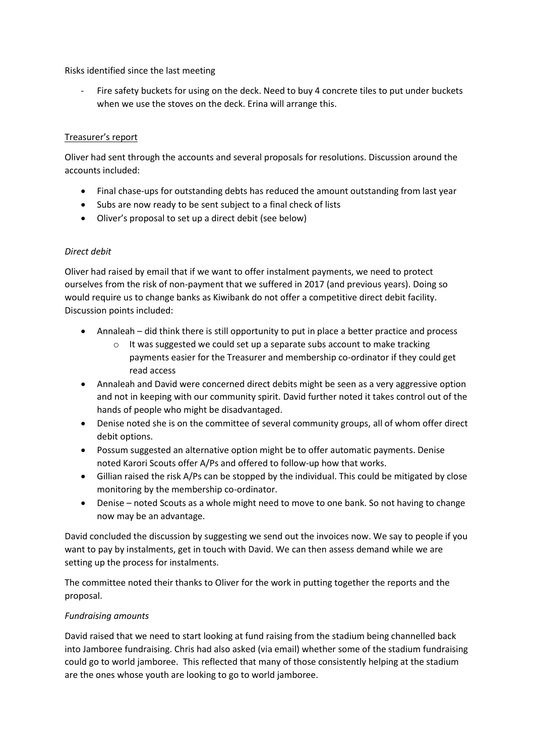Risks identified since the last meeting

Fire safety buckets for using on the deck. Need to buy 4 concrete tiles to put under buckets when we use the stoves on the deck. Erina will arrange this.

# Treasurer's report

Oliver had sent through the accounts and several proposals for resolutions. Discussion around the accounts included:

- Final chase-ups for outstanding debts has reduced the amount outstanding from last year
- Subs are now ready to be sent subject to a final check of lists
- Oliver's proposal to set up a direct debit (see below)

# *Direct debit*

Oliver had raised by email that if we want to offer instalment payments, we need to protect ourselves from the risk of non-payment that we suffered in 2017 (and previous years). Doing so would require us to change banks as Kiwibank do not offer a competitive direct debit facility. Discussion points included:

- Annaleah did think there is still opportunity to put in place a better practice and process
	- o It was suggested we could set up a separate subs account to make tracking payments easier for the Treasurer and membership co-ordinator if they could get read access
- Annaleah and David were concerned direct debits might be seen as a very aggressive option and not in keeping with our community spirit. David further noted it takes control out of the hands of people who might be disadvantaged.
- Denise noted she is on the committee of several community groups, all of whom offer direct debit options.
- Possum suggested an alternative option might be to offer automatic payments. Denise noted Karori Scouts offer A/Ps and offered to follow-up how that works.
- Gillian raised the risk A/Ps can be stopped by the individual. This could be mitigated by close monitoring by the membership co-ordinator.
- Denise noted Scouts as a whole might need to move to one bank. So not having to change now may be an advantage.

David concluded the discussion by suggesting we send out the invoices now. We say to people if you want to pay by instalments, get in touch with David. We can then assess demand while we are setting up the process for instalments.

The committee noted their thanks to Oliver for the work in putting together the reports and the proposal.

# *Fundraising amounts*

David raised that we need to start looking at fund raising from the stadium being channelled back into Jamboree fundraising. Chris had also asked (via email) whether some of the stadium fundraising could go to world jamboree. This reflected that many of those consistently helping at the stadium are the ones whose youth are looking to go to world jamboree.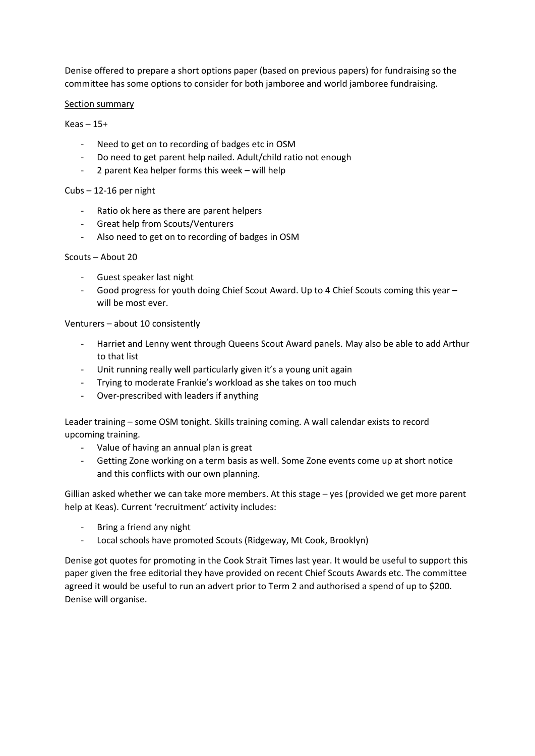Denise offered to prepare a short options paper (based on previous papers) for fundraising so the committee has some options to consider for both jamboree and world jamboree fundraising.

### Section summary

 $Keas - 15+$ 

- Need to get on to recording of badges etc in OSM
- Do need to get parent help nailed. Adult/child ratio not enough
- 2 parent Kea helper forms this week will help

# Cubs – 12-16 per night

- Ratio ok here as there are parent helpers
- Great help from Scouts/Venturers
- Also need to get on to recording of badges in OSM

#### Scouts – About 20

- Guest speaker last night
- Good progress for youth doing Chief Scout Award. Up to 4 Chief Scouts coming this year will be most ever.

#### Venturers – about 10 consistently

- Harriet and Lenny went through Queens Scout Award panels. May also be able to add Arthur to that list
- Unit running really well particularly given it's a young unit again
- Trying to moderate Frankie's workload as she takes on too much
- Over-prescribed with leaders if anything

Leader training – some OSM tonight. Skills training coming. A wall calendar exists to record upcoming training.

- Value of having an annual plan is great
- Getting Zone working on a term basis as well. Some Zone events come up at short notice and this conflicts with our own planning.

Gillian asked whether we can take more members. At this stage – yes (provided we get more parent help at Keas). Current 'recruitment' activity includes:

- Bring a friend any night
- Local schools have promoted Scouts (Ridgeway, Mt Cook, Brooklyn)

Denise got quotes for promoting in the Cook Strait Times last year. It would be useful to support this paper given the free editorial they have provided on recent Chief Scouts Awards etc. The committee agreed it would be useful to run an advert prior to Term 2 and authorised a spend of up to \$200. Denise will organise.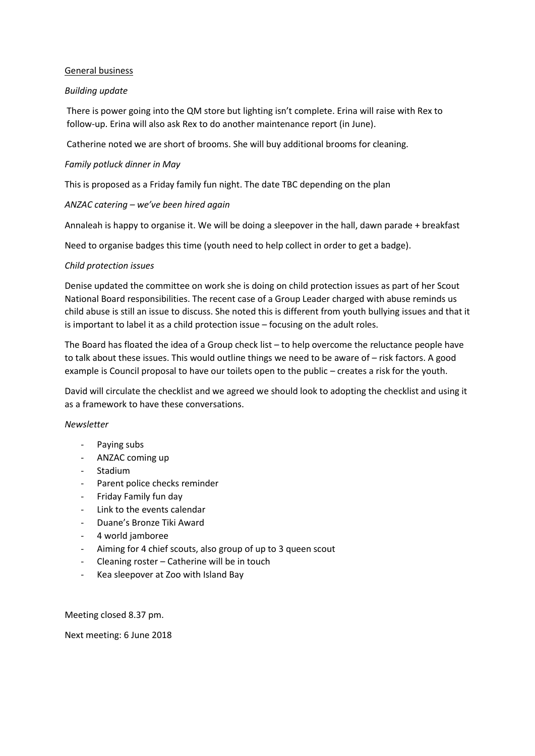# General business

### *Building update*

There is power going into the QM store but lighting isn't complete. Erina will raise with Rex to follow-up. Erina will also ask Rex to do another maintenance report (in June).

Catherine noted we are short of brooms. She will buy additional brooms for cleaning.

# *Family potluck dinner in May*

This is proposed as a Friday family fun night. The date TBC depending on the plan

# *ANZAC catering – we've been hired again*

Annaleah is happy to organise it. We will be doing a sleepover in the hall, dawn parade + breakfast

Need to organise badges this time (youth need to help collect in order to get a badge).

# *Child protection issues*

Denise updated the committee on work she is doing on child protection issues as part of her Scout National Board responsibilities. The recent case of a Group Leader charged with abuse reminds us child abuse is still an issue to discuss. She noted this is different from youth bullying issues and that it is important to label it as a child protection issue – focusing on the adult roles.

The Board has floated the idea of a Group check list – to help overcome the reluctance people have to talk about these issues. This would outline things we need to be aware of – risk factors. A good example is Council proposal to have our toilets open to the public – creates a risk for the youth.

David will circulate the checklist and we agreed we should look to adopting the checklist and using it as a framework to have these conversations.

#### *Newsletter*

- Paying subs
- ANZAC coming up
- Stadium
- Parent police checks reminder
- Friday Family fun day
- Link to the events calendar
- Duane's Bronze Tiki Award
- 4 world jamboree
- Aiming for 4 chief scouts, also group of up to 3 queen scout
- Cleaning roster Catherine will be in touch
- Kea sleepover at Zoo with Island Bay

Meeting closed 8.37 pm.

Next meeting: 6 June 2018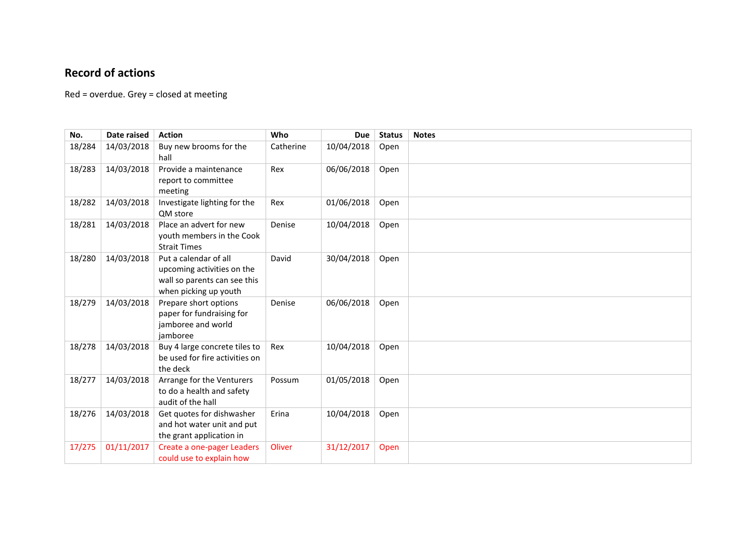# **Record of actions**

Red = overdue. Grey = closed at meeting

| No.    | Date raised | <b>Action</b>                                                                                                | Who       | <b>Due</b> | <b>Status</b> | <b>Notes</b> |
|--------|-------------|--------------------------------------------------------------------------------------------------------------|-----------|------------|---------------|--------------|
| 18/284 | 14/03/2018  | Buy new brooms for the<br>hall                                                                               | Catherine | 10/04/2018 | Open          |              |
| 18/283 | 14/03/2018  | Provide a maintenance<br>report to committee<br>meeting                                                      | Rex       | 06/06/2018 | Open          |              |
| 18/282 | 14/03/2018  | Investigate lighting for the<br>QM store                                                                     | Rex       | 01/06/2018 | Open          |              |
| 18/281 | 14/03/2018  | Place an advert for new<br>youth members in the Cook<br><b>Strait Times</b>                                  | Denise    | 10/04/2018 | Open          |              |
| 18/280 | 14/03/2018  | Put a calendar of all<br>upcoming activities on the<br>wall so parents can see this<br>when picking up youth | David     | 30/04/2018 | Open          |              |
| 18/279 | 14/03/2018  | Prepare short options<br>paper for fundraising for<br>jamboree and world<br>jamboree                         | Denise    | 06/06/2018 | Open          |              |
| 18/278 | 14/03/2018  | Buy 4 large concrete tiles to<br>be used for fire activities on<br>the deck                                  | Rex       | 10/04/2018 | Open          |              |
| 18/277 | 14/03/2018  | Arrange for the Venturers<br>to do a health and safety<br>audit of the hall                                  | Possum    | 01/05/2018 | Open          |              |
| 18/276 | 14/03/2018  | Get quotes for dishwasher<br>and hot water unit and put<br>the grant application in                          | Erina     | 10/04/2018 | Open          |              |
| 17/275 | 01/11/2017  | Create a one-pager Leaders<br>could use to explain how                                                       | Oliver    | 31/12/2017 | Open          |              |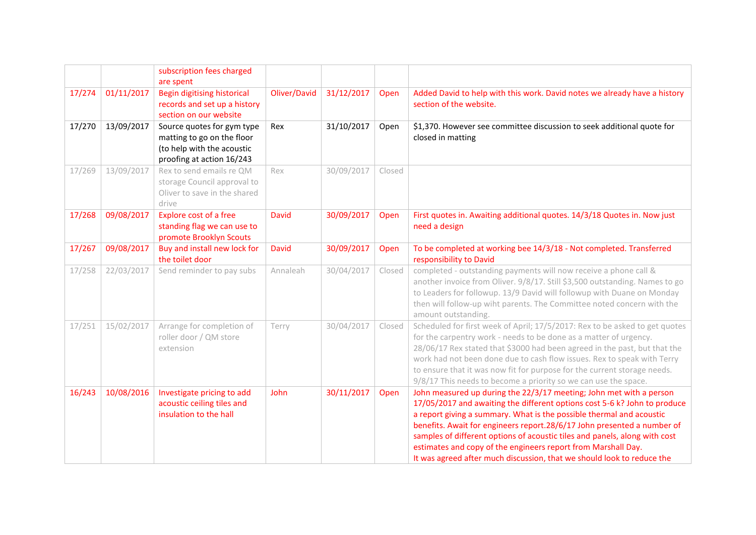|        |            | subscription fees charged<br>are spent                                                                              |              |            |        |                                                                                                                                                                                                                                                                                                                                                                                                                                                                                                                              |  |  |
|--------|------------|---------------------------------------------------------------------------------------------------------------------|--------------|------------|--------|------------------------------------------------------------------------------------------------------------------------------------------------------------------------------------------------------------------------------------------------------------------------------------------------------------------------------------------------------------------------------------------------------------------------------------------------------------------------------------------------------------------------------|--|--|
| 17/274 | 01/11/2017 | Begin digitising historical<br>records and set up a history<br>section on our website                               | Oliver/David | 31/12/2017 | Open   | Added David to help with this work. David notes we already have a history<br>section of the website.                                                                                                                                                                                                                                                                                                                                                                                                                         |  |  |
| 17/270 | 13/09/2017 | Source quotes for gym type<br>matting to go on the floor<br>(to help with the acoustic<br>proofing at action 16/243 | Rex          | 31/10/2017 | Open   | \$1,370. However see committee discussion to seek additional quote for<br>closed in matting                                                                                                                                                                                                                                                                                                                                                                                                                                  |  |  |
| 17/269 | 13/09/2017 | Rex to send emails re QM<br>storage Council approval to<br>Oliver to save in the shared<br>drive                    | Rex          | 30/09/2017 | Closed |                                                                                                                                                                                                                                                                                                                                                                                                                                                                                                                              |  |  |
| 17/268 | 09/08/2017 | <b>Explore cost of a free</b><br>standing flag we can use to<br>promote Brooklyn Scouts                             | David        | 30/09/2017 | Open   | First quotes in. Awaiting additional quotes. 14/3/18 Quotes in. Now just<br>need a design                                                                                                                                                                                                                                                                                                                                                                                                                                    |  |  |
| 17/267 | 09/08/2017 | Buy and install new lock for<br>the toilet door                                                                     | <b>David</b> | 30/09/2017 | Open   | To be completed at working bee 14/3/18 - Not completed. Transferred<br>responsibility to David                                                                                                                                                                                                                                                                                                                                                                                                                               |  |  |
| 17/258 | 22/03/2017 | Send reminder to pay subs                                                                                           | Annaleah     | 30/04/2017 | Closed | completed - outstanding payments will now receive a phone call &<br>another invoice from Oliver. 9/8/17. Still \$3,500 outstanding. Names to go<br>to Leaders for followup. 13/9 David will followup with Duane on Monday<br>then will follow-up wiht parents. The Committee noted concern with the<br>amount outstanding.                                                                                                                                                                                                   |  |  |
| 17/251 | 15/02/2017 | Arrange for completion of<br>roller door / QM store<br>extension                                                    | Terry        | 30/04/2017 | Closed | Scheduled for first week of April; 17/5/2017: Rex to be asked to get quotes<br>for the carpentry work - needs to be done as a matter of urgency.<br>28/06/17 Rex stated that \$3000 had been agreed in the past, but that the<br>work had not been done due to cash flow issues. Rex to speak with Terry<br>to ensure that it was now fit for purpose for the current storage needs.<br>9/8/17 This needs to become a priority so we can use the space.                                                                      |  |  |
| 16/243 | 10/08/2016 | Investigate pricing to add<br>acoustic ceiling tiles and<br>insulation to the hall                                  | John         | 30/11/2017 | Open   | John measured up during the 22/3/17 meeting; John met with a person<br>17/05/2017 and awaiting the different options cost 5-6 k? John to produce<br>a report giving a summary. What is the possible thermal and acoustic<br>benefits. Await for engineers report.28/6/17 John presented a number of<br>samples of different options of acoustic tiles and panels, along with cost<br>estimates and copy of the engineers report from Marshall Day.<br>It was agreed after much discussion, that we should look to reduce the |  |  |